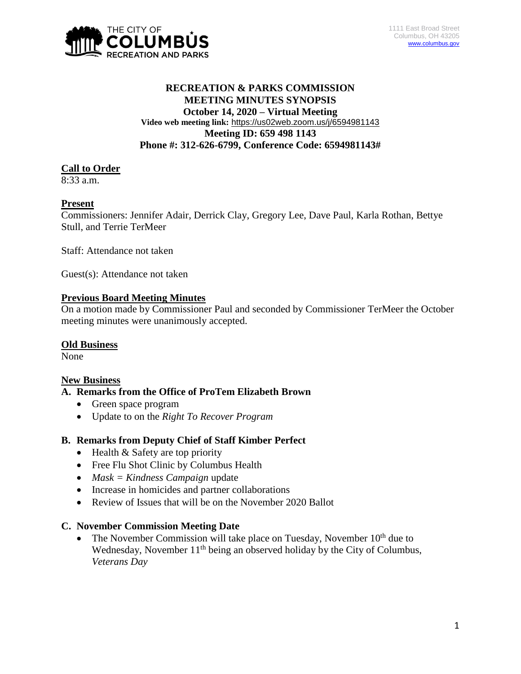

# **RECREATION & PARKS COMMISSION MEETING MINUTES SYNOPSIS October 14, 2020 – Virtual Meeting Video web meeting link:** <https://us02web.zoom.us/j/6594981143> **Meeting ID: 659 498 1143 Phone #: 312-626-6799, Conference Code: 6594981143#**

## **Call to Order**

 $8:33$  a.m.

## **Present**

Commissioners: Jennifer Adair, Derrick Clay, Gregory Lee, Dave Paul, Karla Rothan, Bettye Stull, and Terrie TerMeer

Staff: Attendance not taken

Guest(s): Attendance not taken

## **Previous Board Meeting Minutes**

On a motion made by Commissioner Paul and seconded by Commissioner TerMeer the October meeting minutes were unanimously accepted.

#### **Old Business**

None

#### **New Business**

#### **A. Remarks from the Office of ProTem Elizabeth Brown**

- Green space program
- Update to on the *Right To Recover Program*

#### **B. Remarks from Deputy Chief of Staff Kimber Perfect**

- $\bullet$  Health & Safety are top priority
- Free Flu Shot Clinic by Columbus Health
- *Mask = Kindness Campaign* update
- Increase in homicides and partner collaborations
- Review of Issues that will be on the November 2020 Ballot

#### **C. November Commission Meeting Date**

• The November Commission will take place on Tuesday, November  $10<sup>th</sup>$  due to Wednesday, November  $11<sup>th</sup>$  being an observed holiday by the City of Columbus, *Veterans Day*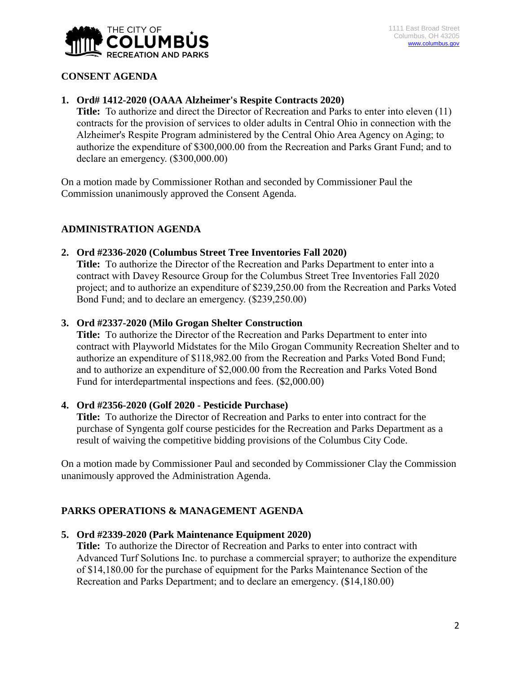

# **CONSENT AGENDA**

## **1. Ord# 1412-2020 (OAAA Alzheimer's Respite Contracts 2020)**

**Title:** To authorize and direct the Director of Recreation and Parks to enter into eleven (11) contracts for the provision of services to older adults in Central Ohio in connection with the Alzheimer's Respite Program administered by the Central Ohio Area Agency on Aging; to authorize the expenditure of \$300,000.00 from the Recreation and Parks Grant Fund; and to declare an emergency. (\$300,000.00)

On a motion made by Commissioner Rothan and seconded by Commissioner Paul the Commission unanimously approved the Consent Agenda.

# **ADMINISTRATION AGENDA**

**2. Ord #2336-2020 (Columbus Street Tree Inventories Fall 2020) Title:** To authorize the Director of the Recreation and Parks Department to enter into a

contract with Davey Resource Group for the Columbus Street Tree Inventories Fall 2020 project; and to authorize an expenditure of \$239,250.00 from the Recreation and Parks Voted Bond Fund; and to declare an emergency. (\$239,250.00)

#### **3. Ord #2337-2020 (Milo Grogan Shelter Construction**

**Title:** To authorize the Director of the Recreation and Parks Department to enter into contract with Playworld Midstates for the Milo Grogan Community Recreation Shelter and to authorize an expenditure of \$118,982.00 from the Recreation and Parks Voted Bond Fund; and to authorize an expenditure of \$2,000.00 from the Recreation and Parks Voted Bond Fund for interdepartmental inspections and fees. (\$2,000.00)

# **4. Ord #2356-2020 (Golf 2020 - Pesticide Purchase)**

**Title:** To authorize the Director of Recreation and Parks to enter into contract for the purchase of Syngenta golf course pesticides for the Recreation and Parks Department as a result of waiving the competitive bidding provisions of the Columbus City Code.

On a motion made by Commissioner Paul and seconded by Commissioner Clay the Commission unanimously approved the Administration Agenda.

# **PARKS OPERATIONS & MANAGEMENT AGENDA**

#### **5. Ord #2339-2020 (Park Maintenance Equipment 2020)**

**Title:** To authorize the Director of Recreation and Parks to enter into contract with Advanced Turf Solutions Inc. to purchase a commercial sprayer; to authorize the expenditure of \$14,180.00 for the purchase of equipment for the Parks Maintenance Section of the Recreation and Parks Department; and to declare an emergency. (\$14,180.00)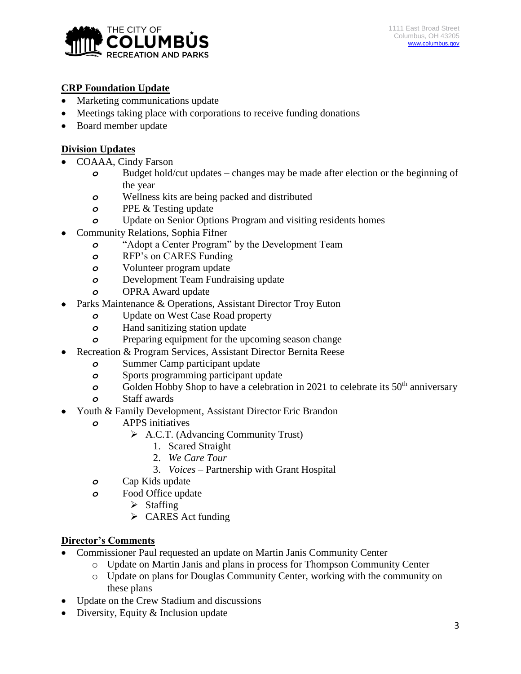

# **CRP Foundation Update**

- Marketing communications update
- Meetings taking place with corporations to receive funding donations
- Board member update

# **Division Updates**

- COAAA, Cindy Farson
	- *o* Budget hold/cut updates changes may be made after election or the beginning of the year
	- *o* Wellness kits are being packed and distributed
	- *o* PPE & Testing update
	- *o* Update on Senior Options Program and visiting residents homes
- Community Relations, Sophia Fifner
	- *o* "Adopt a Center Program" by the Development Team
	- *o* RFP's on CARES Funding
	- *o* Volunteer program update
	- *o* Development Team Fundraising update
	- *o* OPRA Award update
- Parks Maintenance & Operations, Assistant Director Troy Euton
	- *o* Update on West Case Road property
	- *o* Hand sanitizing station update
	- *o* Preparing equipment for the upcoming season change
- Recreation & Program Services, Assistant Director Bernita Reese
	- *o* Summer Camp participant update
	- *o* Sports programming participant update
	- **o** Golden Hobby Shop to have a celebration in 2021 to celebrate its 50<sup>th</sup> anniversary
	- *o* Staff awards
- Youth & Family Development, Assistant Director Eric Brandon
	- *o* APPS initiatives
		- A.C.T. (Advancing Community Trust)
			- 1. Scared Straight
				- 2. *We Care Tour*
				- 3. *Voices*  Partnership with Grant Hospital
	- *o* Cap Kids update
	- *o* Food Office update
		- $\triangleright$  Staffing
		- $\triangleright$  CARES Act funding

# **Director's Comments**

- Commissioner Paul requested an update on Martin Janis Community Center
	- o Update on Martin Janis and plans in process for Thompson Community Center
	- o Update on plans for Douglas Community Center, working with the community on these plans
- Update on the Crew Stadium and discussions
- Diversity, Equity & Inclusion update